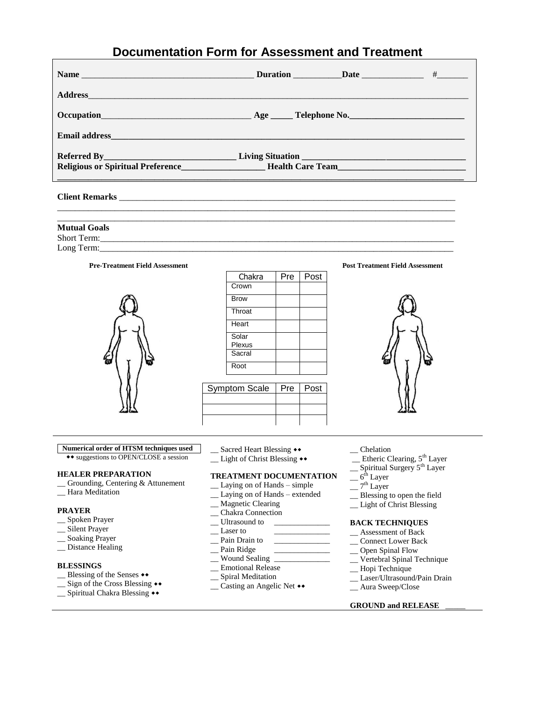# **Documentation Form for Assessment and Treatment**

|                                                    |  | Duration Date 1 + |
|----------------------------------------------------|--|-------------------|
|                                                    |  |                   |
| Occupation Age Telephone No.                       |  |                   |
|                                                    |  |                   |
|                                                    |  |                   |
| Religious or Spiritual Preference Health Care Team |  |                   |
|                                                    |  |                   |

**Client Remarks** \_\_\_\_\_\_\_\_\_\_\_\_\_\_\_\_\_\_\_\_\_\_\_\_\_\_\_\_\_\_\_\_\_\_\_\_\_\_\_\_\_\_\_\_\_\_\_\_\_\_\_\_\_\_\_\_\_\_\_\_\_\_\_\_\_\_\_\_\_\_\_\_\_\_\_\_

\_\_\_\_\_\_\_\_\_\_\_\_\_\_\_\_\_\_\_\_\_\_\_\_\_\_\_\_\_\_\_\_\_\_\_\_\_\_\_\_\_\_\_\_\_\_\_\_\_\_\_\_\_\_\_\_\_\_\_\_\_\_\_\_\_\_\_\_\_\_\_\_\_\_\_\_\_\_\_\_\_\_\_\_\_\_\_\_\_\_ **Mutual Goals** Short Term: Long Term:

\_\_\_\_\_\_\_\_\_\_\_\_\_\_\_\_\_\_\_\_\_\_\_\_\_\_\_\_\_\_\_\_\_\_\_\_\_\_\_\_\_\_\_\_\_\_\_\_\_\_\_\_\_\_\_\_\_\_\_\_\_\_\_\_\_\_\_\_\_\_\_\_\_\_\_\_\_\_\_\_\_\_\_\_\_\_\_\_\_\_



| Chakra        | Pre | Post |
|---------------|-----|------|
| Crown         |     |      |
| <b>Brow</b>   |     |      |
| Throat        |     |      |
| Heart         |     |      |
| Solar         |     |      |
| Plexus        |     |      |
| Sacral        |     |      |
| Root          |     |      |
|               |     |      |
| Symptom Scale | Pre | Post |
|               |     |      |
|               |     |      |
|               |     |      |





## **Numerical order of HTSM techniques used**

 suggestions to OPEN/CLOSE a session

#### **HEALER PREPARATION**

- \_\_ Grounding, Centering & Attunement
- \_\_ Hara Meditation

#### **PRAYER**

- \_\_ Spoken Prayer
- \_\_ Silent Prayer
- \_\_ Soaking Prayer
- \_\_ Distance Healing

#### **BLESSINGS**

- \_\_ Blessing of the Senses
- \_\_ Sign of the Cross Blessing
- \_\_ Spiritual Chakra Blessing
- \_\_ Sacred Heart Blessing
- $\_\_$  Light of Christ Blessing  $\leftrightarrow$

### **TREATMENT DOCUMENTATION**

- \_\_ Laying on of Hands simple
- \_\_ Laying on of Hands extended
- \_\_ Magnetic Clearing
- \_\_ Chakra Connection
- \_\_ Ultrasound to \_\_\_\_\_\_\_\_\_\_\_\_\_\_
- $\equiv$  Laser to  $\equiv$
- $\equiv$  Pain Drain to
- \_\_ Pain Ridge \_\_\_\_\_\_\_\_\_\_\_\_\_\_
- \_\_ Wound Sealing \_\_\_\_\_\_\_\_\_\_\_\_\_\_
- \_\_ Emotional Release
- \_\_ Spiral Meditation
- $\_\_$  Casting an Angelic Net  $\leftrightarrow$
- \_\_ Chelation
- \_\_ Etheric Clearing, 5th Layer
- \_\_ Spiritual Surgery 5th Layer
- $=$   $6^{\rm th}$  Layer
- $\sqrt{7^{th}$  Layer
- \_\_ Blessing to open the field
- \_\_ Light of Christ Blessing

#### **BACK TECHNIQUES**

- \_\_ Assessment of Back
- \_\_ Connect Lower Back
- \_\_ Open Spinal Flow
- \_\_ Vertebral Spinal Technique
- \_\_ Hopi Technique
- \_\_ Laser/Ultrasound/Pain Drain
- \_\_ Aura Sweep/Close

#### **GROUND and RELEASE** \_\_\_\_\_